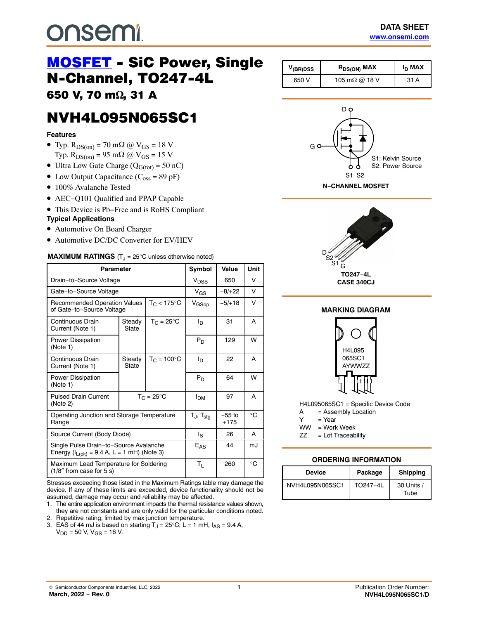## <span id="page-0-0"></span>**DUSEMI**

# [MOSFET](https://www.onsemi.com/products/discretes-drivers/mosfets) - SiC Power, Single<br>N-Channel, TO247-4L

650 V, 70 m $\Omega$ , 31 A , 31 **A** 

### **NVH4L095N065SC1** nder and the second state of the second state of the second state of the second state of the second state of t<br>Second state of the second state of the second state of the second state of the second state of the second stat

#### **Features**

- Typ.  $R_{DS(on)} = 70$  m $\Omega$  @  $V_{GS} = 18$  V Typ.  $R_{DS(on)} = 95$  m $\Omega$  @  $V_{GS} = 15$  V
- Ultra Low Gate Charge  $(Q_{G(tot)} = 50 \text{ nC})$
- Low Output Capacitance  $(C_{\text{oss}} = 89 \text{ pF})$
- 100% Avalanche Tested
- AEC−Q101 Qualified and PPAP Capable
- This Device is Pb−Free and is RoHS Compliant

#### **Typical Applications**

- Automotive On Board Charger
- Automotive DC/DC Converter for EV/HEV

#### **MAXIMUM RATINGS** (T<sub>J</sub> = 25°C unless otherwise noted)

| Parameter                                                                                   |                                         |                   | Symbol                            | Value              | Unit |
|---------------------------------------------------------------------------------------------|-----------------------------------------|-------------------|-----------------------------------|--------------------|------|
| Drain-to-Source Voltage                                                                     |                                         |                   | V <sub>DSS</sub>                  | 650                | v    |
| Gate-to-Source Voltage                                                                      |                                         |                   | $V_{GS}$                          | $-8/+22$           | V    |
| $T_C < 175$ °C<br><b>Recommended Operation Values</b><br>of Gate-to-Source Voltage          |                                         | V <sub>GSop</sub> | $-5/+18$                          | V                  |      |
| Continuous Drain<br>Current (Note 1)                                                        | $T_C = 25^{\circ}C$<br>Steady<br>State  |                   | Ιŋ                                | 31                 | A    |
| <b>Power Dissipation</b><br>(Note 1)                                                        |                                         |                   | $P_D$                             | 129                | W    |
| Continuous Drain<br>Current (Note 1)                                                        | $T_C = 100^{\circ}C$<br>Steady<br>State |                   | In.                               | 22                 | A    |
| <b>Power Dissipation</b><br>(Note 1)                                                        |                                         |                   | $P_D$                             | 64                 | W    |
| <b>Pulsed Drain Current</b><br>(Note 2)                                                     | $T_C = 25^{\circ}C$                     |                   | Iрм                               | 97                 | A    |
| Operating Junction and Storage Temperature<br>Range                                         |                                         |                   | $T_{\text{J}}$ , $T_{\text{sta}}$ | $-55$ to<br>$+175$ | °C   |
| Source Current (Body Diode)                                                                 |                                         |                   | ls                                | 26                 | A    |
| Single Pulse Drain-to-Source Avalanche<br>Energy ( $I_{L(pk)} = 9.4 A$ , L = 1 mH) (Note 3) |                                         |                   | $E_{AS}$                          | 44                 | mJ   |
| Maximum Lead Temperature for Soldering<br>$(1/8"$ from case for 5 s)                        |                                         |                   | $T_{L}$                           | 260                | °C   |

Stresses exceeding those listed in the Maximum Ratings table may damage the device. If any of these limits are exceeded, device functionality should not be assumed, damage may occur and reliability may be affected.

- 1. The entire application environment impacts the thermal resistance values shown, they are not constants and are only valid for the particular conditions noted.
- 2. Repetitive rating, limited by max junction temperature.
- 3. EAS of 44 mJ is based on starting  $T_J = 25^{\circ}$ C; L = 1 mH,  $I_{AS} = 9.4$  A,  $V_{DD}$  = 50 V,  $V_{GS}$  = 18 V.

| V <sub>(BR)DSS</sub> | $R_{DS(ON)}$ MAX      | I <sub>D</sub> MAX |  |  |
|----------------------|-----------------------|--------------------|--|--|
| 650 V                | 105 m $\Omega$ @ 18 V | 31 A               |  |  |



**N−CHANNEL MOSFET**





H4L095065SC1 = Specific Device Code

A = Assembly Location

 $Y = Year$ 

WW = Work Week

ZZ = Lot Traceability

#### **ORDERING INFORMATION**

| <b>Device</b>   | Package  | <b>Shipping</b>    |  |  |
|-----------------|----------|--------------------|--|--|
| NVH4L095N065SC1 | TO247-4L | 30 Units /<br>Tube |  |  |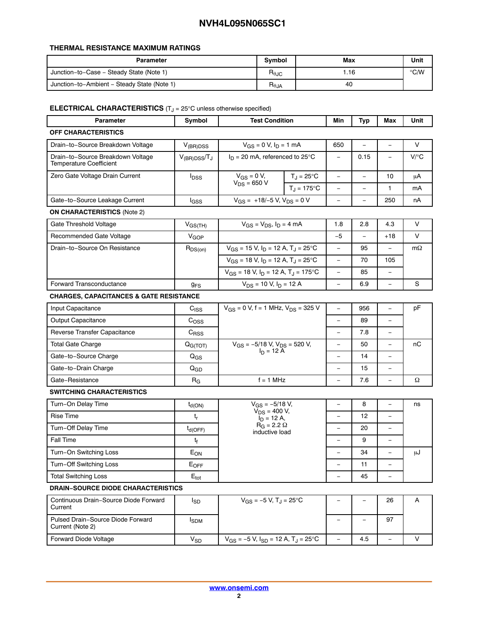#### **THERMAL RESISTANCE MAXIMUM RATINGS**

| Parameter                                   | <b>Symbol</b>   | Max | Unit |
|---------------------------------------------|-----------------|-----|------|
| Junction-to-Case - Steady State (Note 1)    | $R_{\theta$ JC  | .16 | ℃/W  |
| Junction-to-Ambient - Steady State (Note 1) | $R_{\theta JA}$ | 40  |      |

#### **ELECTRICAL CHARACTERISTICS** (T<sub>J</sub> = 25°C unless otherwise specified)

| Parameter                                                           | Symbol                      | <b>Test Condition</b>                                 |                     | Min                      | Typ                      | Max                      | Unit      |
|---------------------------------------------------------------------|-----------------------------|-------------------------------------------------------|---------------------|--------------------------|--------------------------|--------------------------|-----------|
| <b>OFF CHARACTERISTICS</b>                                          |                             |                                                       |                     |                          |                          |                          |           |
| Drain-to-Source Breakdown Voltage                                   | $V_{(BR)DSS}$               | $V_{GS} = 0$ V, $I_D = 1$ mA                          |                     | 650                      | $\equiv$                 | $\equiv$                 | V         |
| Drain-to-Source Breakdown Voltage<br><b>Temperature Coefficient</b> | $V_{(BR)DSS}/T_J$           | $I_D = 20$ mA, referenced to 25°C                     |                     | $\overline{\phantom{0}}$ | 0.15                     | $\equiv$                 | $V$ / $C$ |
| Zero Gate Voltage Drain Current                                     | $I_{DSS}$                   | $V_{GS} = 0 V$ ,                                      | $T_J = 25^{\circ}C$ | $\overline{\phantom{a}}$ | $\qquad \qquad -$        | 10                       | μA        |
|                                                                     |                             | $V_{DS} = 650 V$                                      | $T_{\rm J}$ = 175°C | $\overline{\phantom{0}}$ | $\overline{\phantom{0}}$ | 1                        | mA        |
| Gate-to-Source Leakage Current                                      | lgss                        | $V_{GS}$ = +18/-5 V, $V_{DS}$ = 0 V                   |                     | $\equiv$                 | $\overline{\phantom{0}}$ | 250                      | nA        |
| <b>ON CHARACTERISTICS (Note 2)</b>                                  |                             |                                                       |                     |                          |                          |                          |           |
| Gate Threshold Voltage                                              | $V_{GS(TH)}$                | $V_{GS} = V_{DS}$ , $I_D = 4$ mA                      |                     | 1.8                      | 2.8                      | 4.3                      | V         |
| Recommended Gate Voltage                                            | V <sub>GOP</sub>            |                                                       |                     | $-5$                     |                          | $+18$                    | V         |
| Drain-to-Source On Resistance                                       | $R_{DS(on)}$                | $V_{GS}$ = 15 V, $I_D$ = 12 A, T <sub>J</sub> = 25°C  |                     | $\overline{\phantom{0}}$ | 95                       | $\equiv$                 | $m\Omega$ |
|                                                                     |                             | $V_{GS}$ = 18 V, $I_D$ = 12 A, T <sub>J</sub> = 25°C  |                     | $\qquad \qquad -$        | 70                       | 105                      |           |
|                                                                     |                             | $V_{GS}$ = 18 V, $I_D$ = 12 A, T <sub>J</sub> = 175°C |                     | $\qquad \qquad -$        | 85                       | $\equiv$                 |           |
| Forward Transconductance                                            | 9 <sub>FS</sub>             | $V_{DS}$ = 10 V, $I_D$ = 12 A                         |                     | $\qquad \qquad -$        | 6.9                      | $\qquad \qquad -$        | S         |
| <b>CHARGES, CAPACITANCES &amp; GATE RESISTANCE</b>                  |                             |                                                       |                     |                          |                          |                          |           |
| Input Capacitance                                                   | C <sub>ISS</sub>            | $V_{GS}$ = 0 V, f = 1 MHz, $V_{DS}$ = 325 V           |                     | $\overline{\phantom{a}}$ | 956                      | $\equiv$                 | pF        |
| <b>Output Capacitance</b>                                           | C <sub>OSS</sub>            |                                                       |                     | $\equiv$                 | 89                       |                          |           |
| Reverse Transfer Capacitance                                        | $C_{RSS}$                   |                                                       |                     | $\qquad \qquad -$        | 7.8                      |                          |           |
| <b>Total Gate Charge</b>                                            | $Q_{G(TOT)}$                | $V_{GS}$ = -5/18 V, $V_{DS}$ = 520 V,                 |                     | $\overline{\phantom{0}}$ | 50                       | ÷,                       | пC        |
| Gate-to-Source Charge                                               | $Q_{GS}$                    | $I_D = 12 A$                                          |                     | $\equiv$                 | 14                       | $\equiv$                 |           |
| Gate-to-Drain Charge                                                | $Q_{GD}$                    |                                                       |                     | $\overline{\phantom{0}}$ | 15                       | $\equiv$                 |           |
| Gate-Resistance                                                     | $R_G$                       | $f = 1$ MHz                                           |                     | $\overline{\phantom{0}}$ | 7.6                      | $\equiv$                 | Ω         |
| <b>SWITCHING CHARACTERISTICS</b>                                    |                             |                                                       |                     |                          |                          |                          |           |
| Turn-On Delay Time                                                  | $t_{d(ON)}$                 | $V_{GS} = -5/18 V,$                                   |                     | $\equiv$                 | 8                        | $\equiv$                 | ns        |
| <b>Rise Time</b>                                                    | $\mathsf{t}_{\mathsf{r}}$   | $V_{DS}$ = 400 V,<br>$I_D = 12 A$ ,                   |                     | $\overline{\phantom{0}}$ | 12                       | $\overline{\phantom{0}}$ |           |
| Turn-Off Delay Time                                                 | $t_{d(OFF)}$                | $R_G = 2.2 \Omega$<br>inductive load                  |                     |                          | 20                       |                          |           |
| <b>Fall Time</b>                                                    | t <sub>f</sub>              |                                                       |                     | $\qquad \qquad -$        | 9                        |                          |           |
| Turn-On Switching Loss                                              | $E_{ON}$                    |                                                       |                     |                          | 34                       |                          | μJ        |
| Turn-Off Switching Loss                                             | $E_{OFF}$                   |                                                       |                     | $\qquad \qquad -$        | 11                       | $\qquad \qquad -$        |           |
| <b>Total Switching Loss</b>                                         | $\mathsf{E}_{\mathsf{tot}}$ |                                                       |                     | $\overline{\phantom{0}}$ | 45                       | $\overline{\phantom{0}}$ |           |
| <b>DRAIN-SOURCE DIODE CHARACTERISTICS</b>                           |                             |                                                       |                     |                          |                          |                          |           |
| Continuous Drain-Source Diode Forward<br>Current                    | $I_{SD}$                    | $V_{GS} = -5 V$ , T <sub>J</sub> = 25°C               |                     |                          | $\overline{\phantom{0}}$ | 26                       | Α         |
| Pulsed Drain-Source Diode Forward<br>Current (Note 2)               | <b>I</b> spM                |                                                       |                     | $\qquad \qquad -$        | $\qquad \qquad -$        | 97                       |           |

Forward Diode Voltage  $V_{SD}$   $V_{SD}$   $V_{GS}$  = -5 V,  $I_{SD}$  = 12 A, T<sub>J</sub> = 25°C  $-$  4.5  $-$  V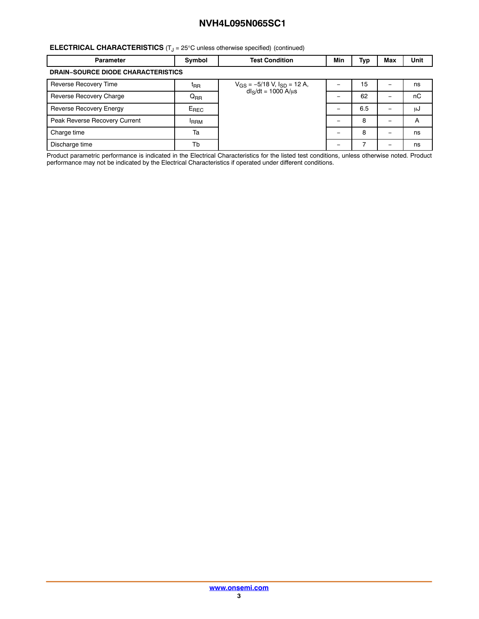#### **ELECTRICAL CHARACTERISTICS** (T<sub>J</sub> = 25°C unless otherwise specified) (continued)

| <b>Parameter</b>                          | Symbol          | <b>Test Condition</b>                                                   | Min | Тур | Max | Unit |  |  |
|-------------------------------------------|-----------------|-------------------------------------------------------------------------|-----|-----|-----|------|--|--|
| <b>DRAIN-SOURCE DIODE CHARACTERISTICS</b> |                 |                                                                         |     |     |     |      |  |  |
| Reverse Recovery Time                     | t <sub>RR</sub> | $V_{GS} = -5/18$ V, $I_{SD} = 12$ A,<br>dl <sub>S</sub> /dt = 1000 A/µs |     | 15  |     | ns   |  |  |
| Reverse Recovery Charge                   | $Q_{RR}$        |                                                                         |     | 62  |     | nC   |  |  |
| Reverse Recovery Energy                   | $E_{REC}$       |                                                                         |     | 6.5 |     | μJ   |  |  |
| Peak Reverse Recovery Current             | <b>IRRM</b>     |                                                                         |     | 8   | -   | A    |  |  |
| Charge time                               | Ta              |                                                                         |     | 8   |     | ns   |  |  |
| Discharge time                            | Tb              |                                                                         |     |     |     | ns   |  |  |

Product parametric performance is indicated in the Electrical Characteristics for the listed test conditions, unless otherwise noted. Product performance may not be indicated by the Electrical Characteristics if operated under different conditions.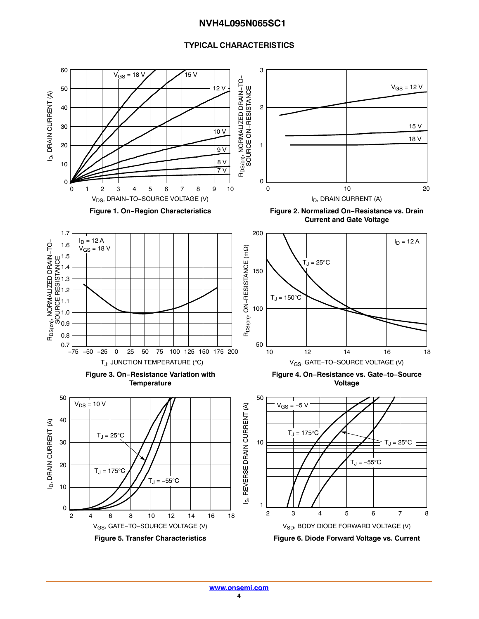#### **TYPICAL CHARACTERISTICS**

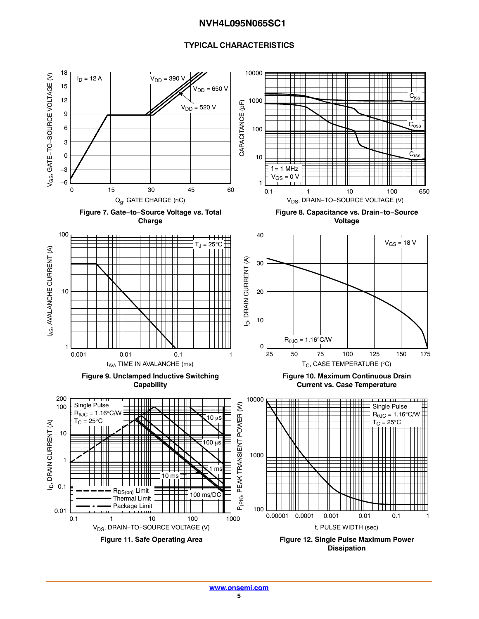#### **TYPICAL CHARACTERISTICS**

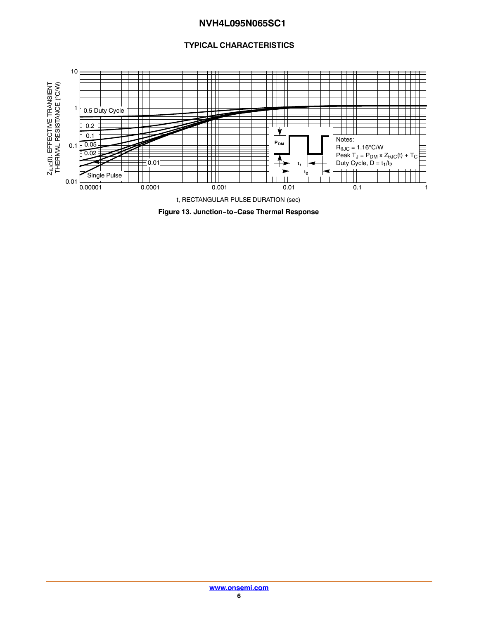#### **TYPICAL CHARACTERISTICS**



**Figure 13. Junction−to−Case Thermal Response**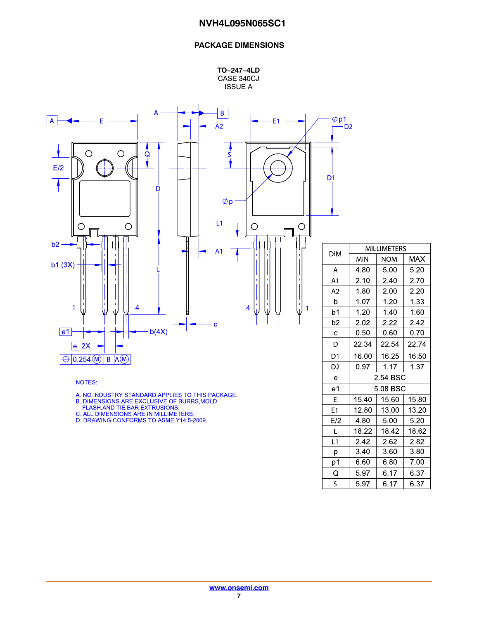#### **PACKAGE DIMENSIONS**

**TO−247−4LD** CASE 340CJ ISSUE A



NOTES:

A. NO INDUSTRY STANDARD APPLIES TO THIS PACKAGE.<br>B. DIMENSIONS ARE EXCLUSIVE OF BURRS,MOLD<br>FLASH,AND TIE BAR EXTRUSIONS.<br>C. ALL DIMENSIONS ARE IN MILLIMETERS.<br>D. DRAWING CONFORMS TO ASME Y14.5-2009.

| DIM            | <b>MILLIMETERS</b> |            |       |  |  |  |  |
|----------------|--------------------|------------|-------|--|--|--|--|
|                | MIN                | <b>NOM</b> | MAX   |  |  |  |  |
| Α              | 4.80               | 5.00       | 5.20  |  |  |  |  |
| A <sub>1</sub> | 2.10               | 2.40       | 2.70  |  |  |  |  |
| A2             | 1.80               | 2.00       | 2.20  |  |  |  |  |
| b              | 1.07               | 1.20       | 1.33  |  |  |  |  |
| b1             | 1.20               | 1.40       | 1.60  |  |  |  |  |
| b2             | 2.02               | 2.22       | 2.42  |  |  |  |  |
| C              | 0.50               | 0.60       | 0.70  |  |  |  |  |
| D              | 22.34              | 22.54      | 22.74 |  |  |  |  |
| D1             | 16.00              | 16.25      | 16.50 |  |  |  |  |
| D <sub>2</sub> | 0.97               | 1.17       | 1.37  |  |  |  |  |
| е              | 2.54 BSC           |            |       |  |  |  |  |
| e1             |                    | 5.08 BSC   |       |  |  |  |  |
| E              | 15.40              | 15.60      | 15.80 |  |  |  |  |
| E1             | 12.80              | 13.00      | 13.20 |  |  |  |  |
| E/2            | 4.80               | 5.00       | 5.20  |  |  |  |  |
| Г              | 18.22              | 18.42      | 18.62 |  |  |  |  |
| L1             | 2.42               | 2.62       | 2.82  |  |  |  |  |
| р              | 3.40               | 3.60       | 3.80  |  |  |  |  |
| p1             | 6.60               | 6.80       | 7.00  |  |  |  |  |
| Q              | 5.97               | 6.17       | 6.37  |  |  |  |  |
| S              | 5.97               | 6.17       | 6.37  |  |  |  |  |